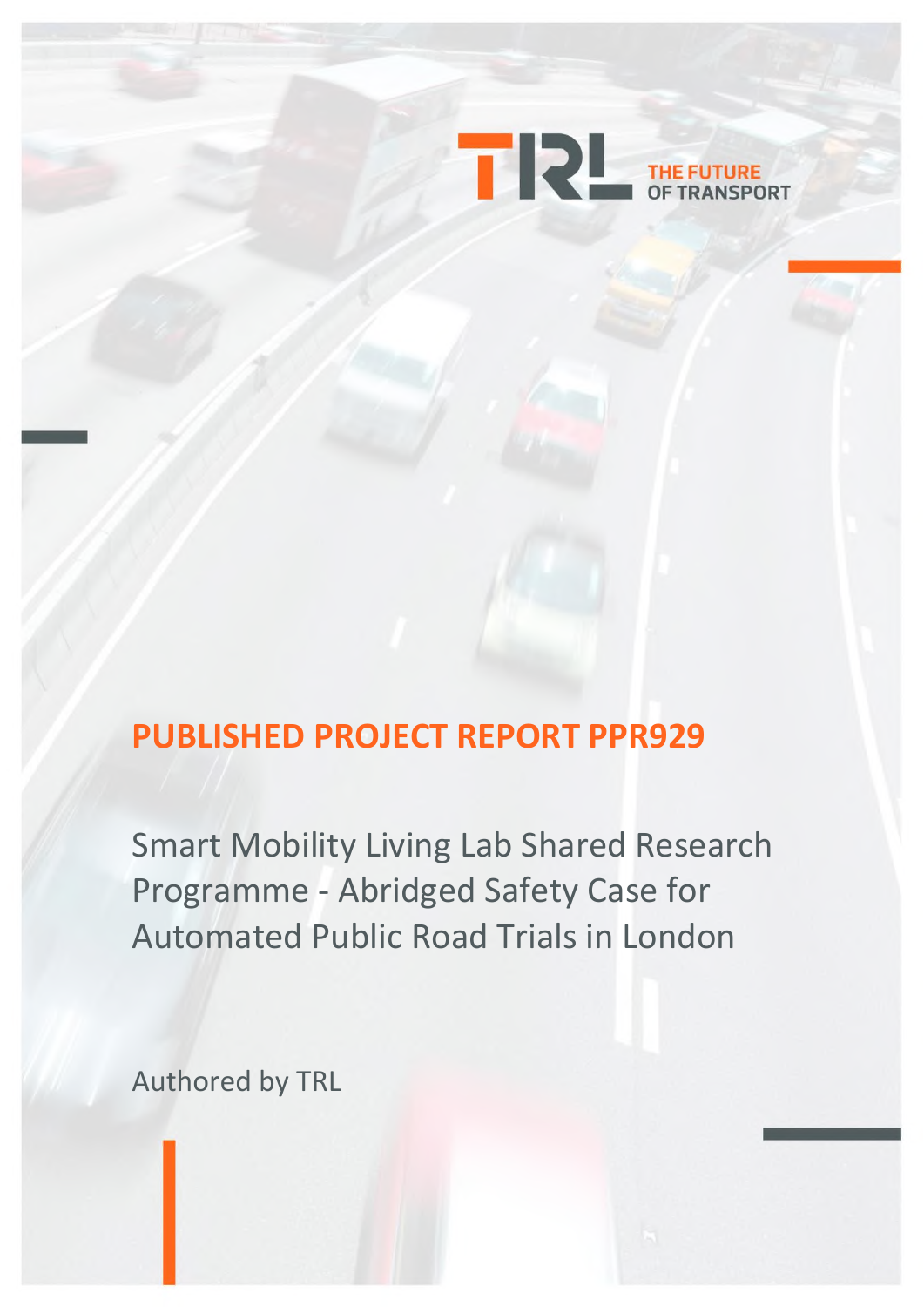

# **PUBLISHED PROJECT REPORT PPR929**

Smart Mobility Living Lab Shared Research Programme - Abridged Safety Case for Automated Public Road Trials in London

Authored by TRL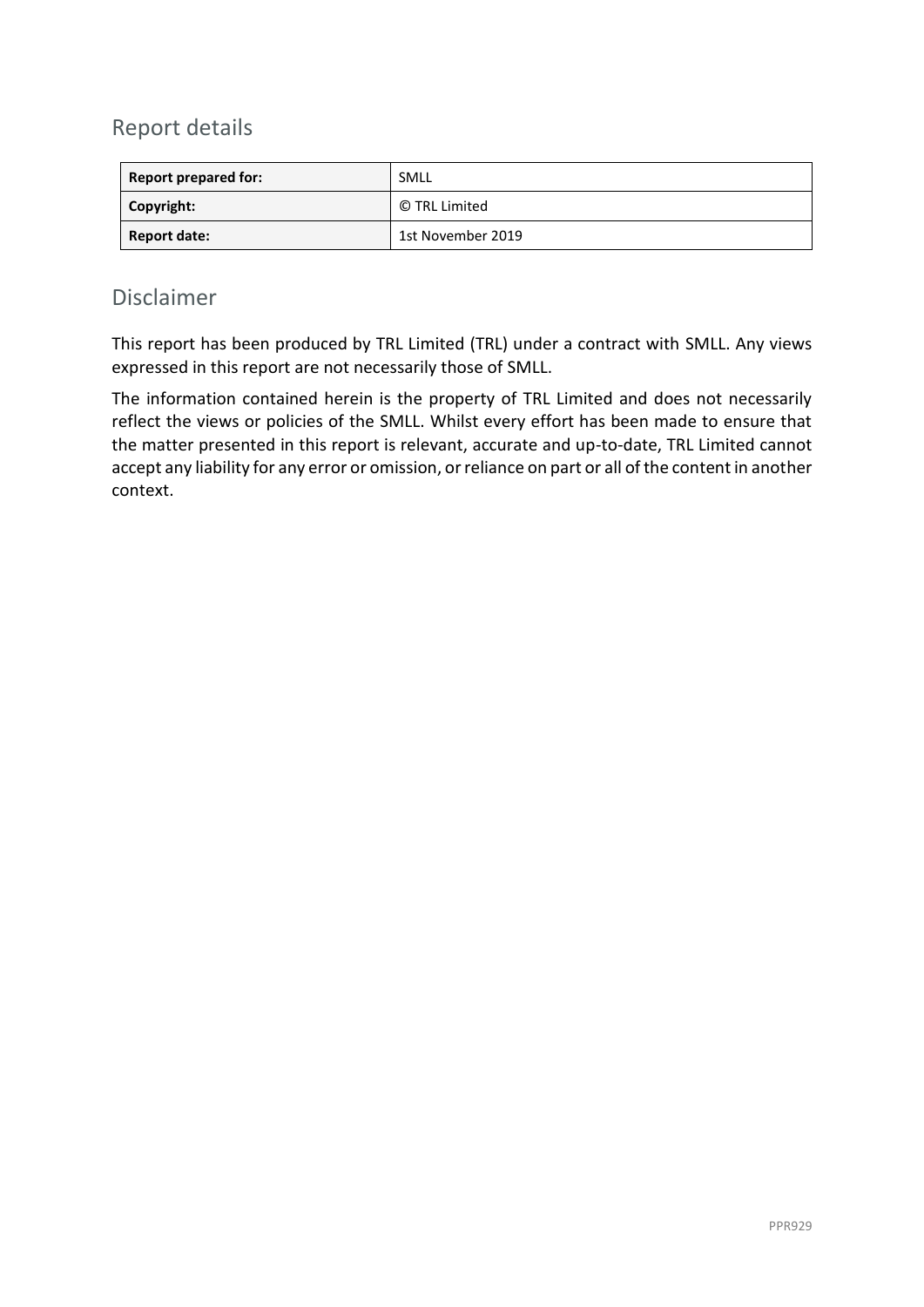## Report details

| <b>Report prepared for:</b> | SMLL              |
|-----------------------------|-------------------|
| Copyright:                  | © TRL Limited     |
| <b>Report date:</b>         | 1st November 2019 |

#### Disclaimer

This report has been produced by TRL Limited (TRL) under a contract with SMLL. Any views expressed in this report are not necessarily those of SMLL.

The information contained herein is the property of TRL Limited and does not necessarily reflect the views or policies of the SMLL. Whilst every effort has been made to ensure that the matter presented in this report is relevant, accurate and up-to-date, TRL Limited cannot accept any liability for any error or omission, or reliance on part or all of the content in another context.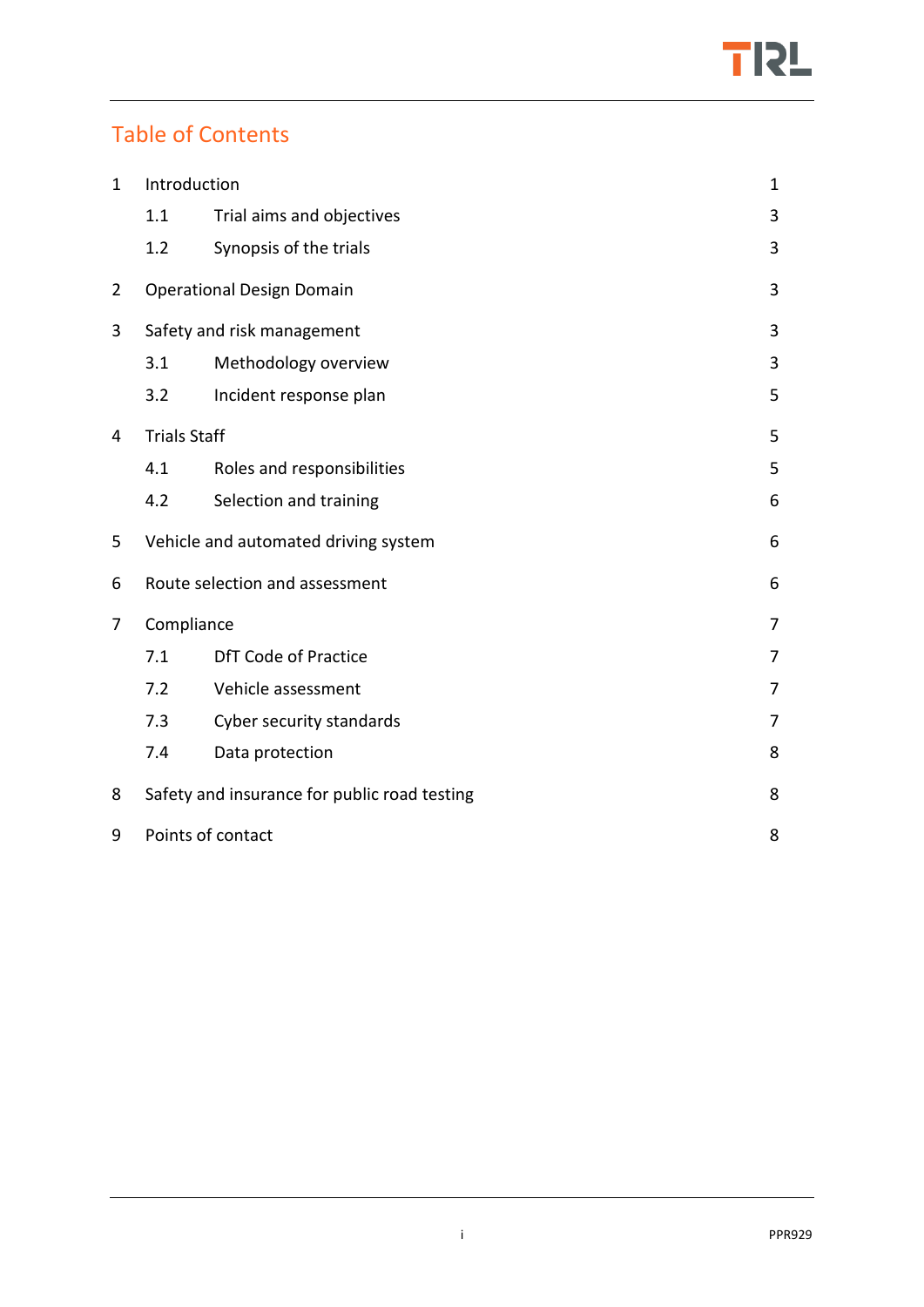

## Table of Contents

| Introduction<br>$\mathbf{1}$    |                                              |                             |                |
|---------------------------------|----------------------------------------------|-----------------------------|----------------|
|                                 | 1.1                                          | Trial aims and objectives   | 3              |
|                                 | 1.2                                          | Synopsis of the trials      | 3              |
| $\overline{2}$                  | <b>Operational Design Domain</b>             |                             | 3              |
| 3<br>Safety and risk management |                                              |                             | 3              |
|                                 | 3.1                                          | Methodology overview        | 3              |
|                                 | 3.2                                          | Incident response plan      | 5              |
| <b>Trials Staff</b><br>4        |                                              |                             | 5              |
|                                 | 4.1                                          | Roles and responsibilities  | 5              |
|                                 | 4.2                                          | Selection and training      | 6              |
| 5                               | Vehicle and automated driving system         |                             | 6              |
| 6                               | Route selection and assessment               |                             | 6              |
| Compliance<br>7                 |                                              |                             | $\overline{7}$ |
|                                 | 7.1                                          | <b>DfT Code of Practice</b> | 7              |
|                                 | 7.2                                          | Vehicle assessment          | 7              |
|                                 | 7.3                                          | Cyber security standards    | $\overline{7}$ |
|                                 | 7.4                                          | Data protection             | 8              |
| 8                               | Safety and insurance for public road testing |                             | 8              |
| 9                               | Points of contact                            |                             | 8              |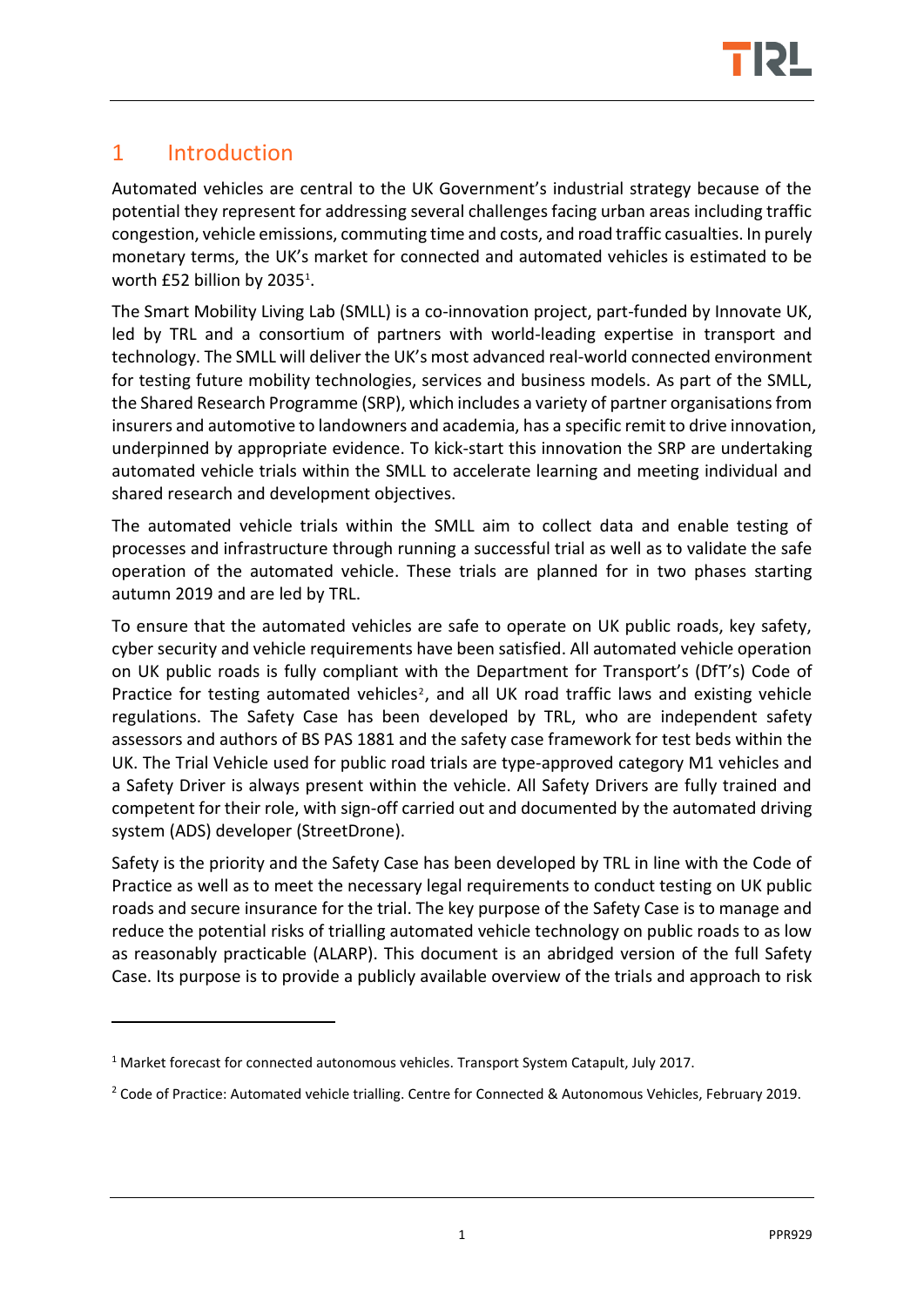

## <span id="page-3-0"></span>1 Introduction

<u>.</u>

Automated vehicles are central to the UK Government's industrial strategy because of the potential they represent for addressing several challenges facing urban areas including traffic congestion, vehicle emissions, commuting time and costs, and road traffic casualties. In purely monetary terms, the UK's market for connected and automated vehicles is estimated to be worth £52 billion by 2035<sup>1</sup>.

The Smart Mobility Living Lab (SMLL) is a co-innovation project, part-funded by Innovate UK, led by TRL and a consortium of partners with world-leading expertise in transport and technology. The SMLL will deliver the UK's most advanced real-world connected environment for testing future mobility technologies, services and business models. As part of the SMLL, the Shared Research Programme (SRP), which includes a variety of partner organisations from insurers and automotive to landowners and academia, has a specific remit to drive innovation, underpinned by appropriate evidence. To kick-start this innovation the SRP are undertaking automated vehicle trials within the SMLL to accelerate learning and meeting individual and shared research and development objectives.

The automated vehicle trials within the SMLL aim to collect data and enable testing of processes and infrastructure through running a successful trial as well as to validate the safe operation of the automated vehicle. These trials are planned for in two phases starting autumn 2019 and are led by TRL.

To ensure that the automated vehicles are safe to operate on UK public roads, key safety, cyber security and vehicle requirements have been satisfied. All automated vehicle operation on UK public roads is fully compliant with the Department for Transport's (DfT's) Code of Practice for testing automated vehicles<sup>2</sup>, and all UK road traffic laws and existing vehicle regulations. The Safety Case has been developed by TRL, who are independent safety assessors and authors of BS PAS 1881 and the safety case framework for test beds within the UK. The Trial Vehicle used for public road trials are type-approved category M1 vehicles and a Safety Driver is always present within the vehicle. All Safety Drivers are fully trained and competent for their role, with sign-off carried out and documented by the automated driving system (ADS) developer (StreetDrone).

Safety is the priority and the Safety Case has been developed by TRL in line with the Code of Practice as well as to meet the necessary legal requirements to conduct testing on UK public roads and secure insurance for the trial. The key purpose of the Safety Case is to manage and reduce the potential risks of trialling automated vehicle technology on public roads to as low as reasonably practicable (ALARP). This document is an abridged version of the full Safety Case. Its purpose is to provide a publicly available overview of the trials and approach to risk

 $1$  Market forecast for connected autonomous vehicles. Transport System Catapult, July 2017.

<sup>&</sup>lt;sup>2</sup> Code of Practice: Automated vehicle trialling. Centre for Connected & Autonomous Vehicles, February 2019.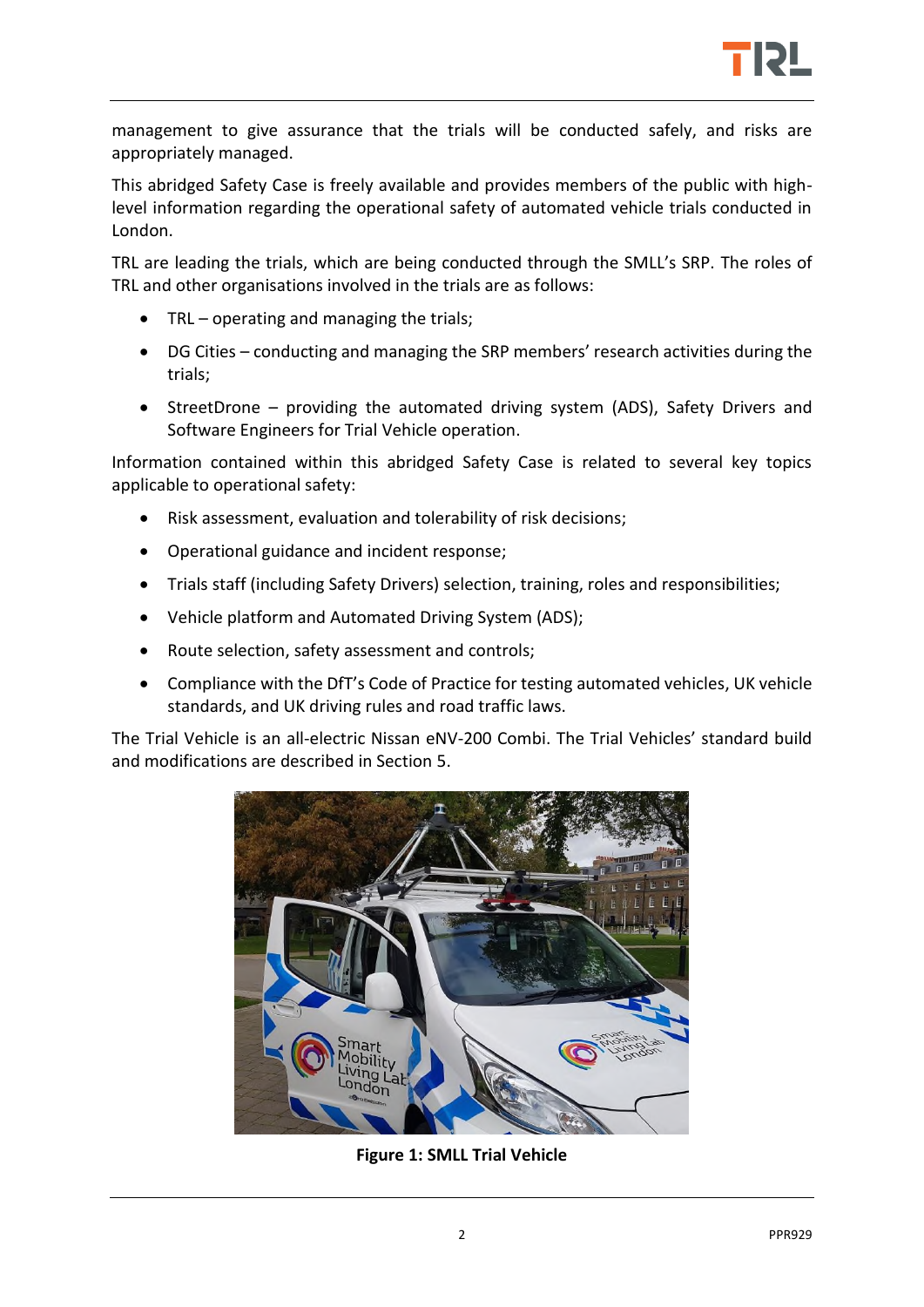

management to give assurance that the trials will be conducted safely, and risks are appropriately managed.

This abridged Safety Case is freely available and provides members of the public with highlevel information regarding the operational safety of automated vehicle trials conducted in London.

TRL are leading the trials, which are being conducted through the SMLL's SRP. The roles of TRL and other organisations involved in the trials are as follows:

- TRL operating and managing the trials;
- DG Cities conducting and managing the SRP members' research activities during the trials;
- StreetDrone providing the automated driving system (ADS), Safety Drivers and Software Engineers for Trial Vehicle operation.

Information contained within this abridged Safety Case is related to several key topics applicable to operational safety:

- Risk assessment, evaluation and tolerability of risk decisions;
- Operational guidance and incident response;
- Trials staff (including Safety Drivers) selection, training, roles and responsibilities;
- Vehicle platform and Automated Driving System (ADS);
- Route selection, safety assessment and controls;
- Compliance with the DfT's Code of Practice for testing automated vehicles, UK vehicle standards, and UK driving rules and road traffic laws.

The Trial Vehicle is an all-electric Nissan eNV-200 Combi. The Trial Vehicles' standard build and modifications are described in Section [5.](#page-8-1)



**Figure 1: SMLL Trial Vehicle**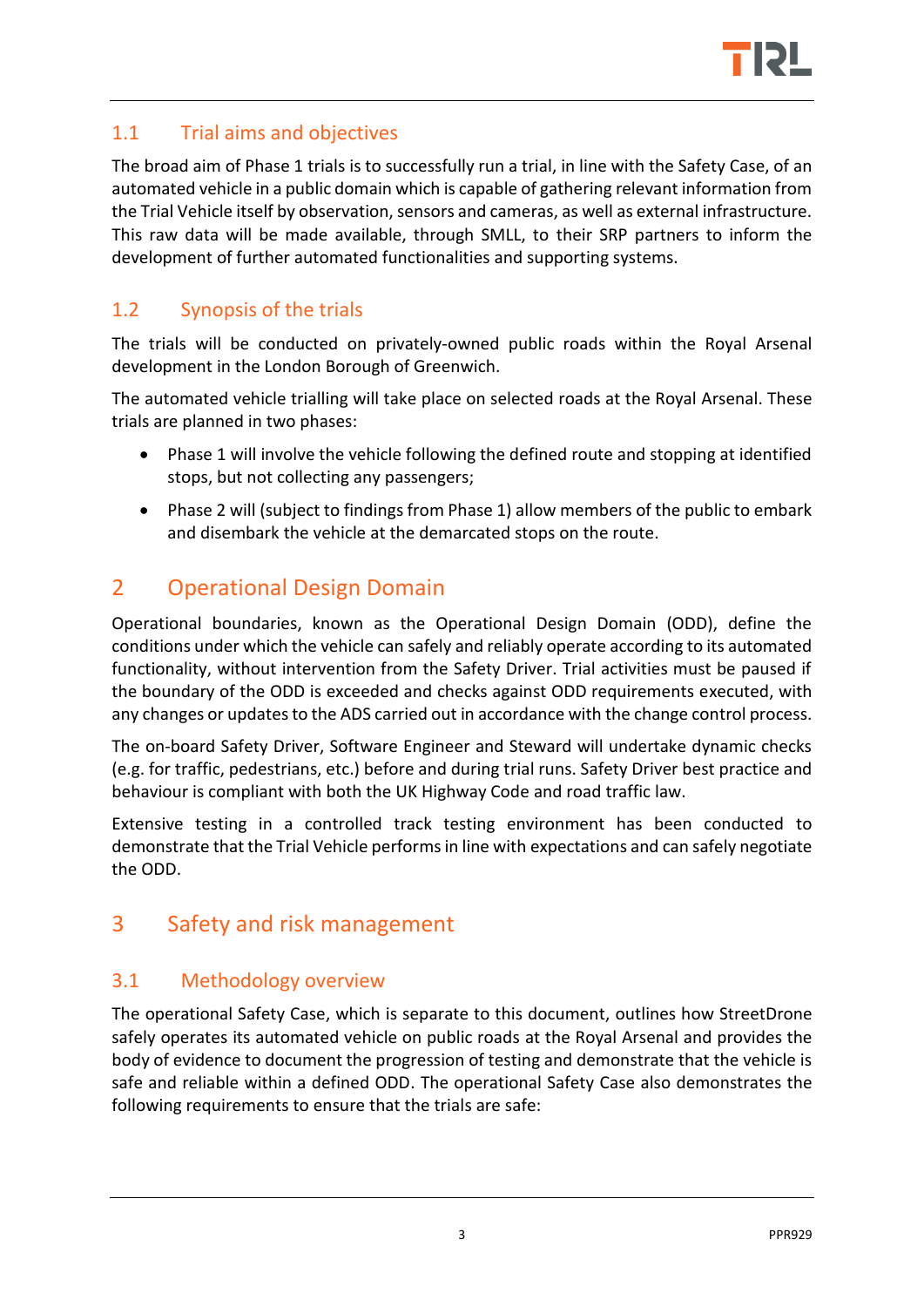

#### <span id="page-5-0"></span>1.1 Trial aims and objectives

The broad aim of Phase 1 trials is to successfully run a trial, in line with the Safety Case, of an automated vehicle in a public domain which is capable of gathering relevant information from the Trial Vehicle itself by observation, sensors and cameras, as well as external infrastructure. This raw data will be made available, through SMLL, to their SRP partners to inform the development of further automated functionalities and supporting systems.

## <span id="page-5-1"></span>1.2 Synopsis of the trials

The trials will be conducted on privately-owned public roads within the Royal Arsenal development in the London Borough of Greenwich.

The automated vehicle trialling will take place on selected roads at the Royal Arsenal. These trials are planned in two phases:

- Phase 1 will involve the vehicle following the defined route and stopping at identified stops, but not collecting any passengers;
- Phase 2 will (subject to findings from Phase 1) allow members of the public to embark and disembark the vehicle at the demarcated stops on the route.

## <span id="page-5-2"></span>2 Operational Design Domain

Operational boundaries, known as the Operational Design Domain (ODD), define the conditions under which the vehicle can safely and reliably operate according to its automated functionality, without intervention from the Safety Driver. Trial activities must be paused if the boundary of the ODD is exceeded and checks against ODD requirements executed, with any changes or updates to the ADS carried out in accordance with the change control process.

The on-board Safety Driver, Software Engineer and Steward will undertake dynamic checks (e.g. for traffic, pedestrians, etc.) before and during trial runs. Safety Driver best practice and behaviour is compliant with both the UK Highway Code and road traffic law.

Extensive testing in a controlled track testing environment has been conducted to demonstrate that the Trial Vehicle performs in line with expectations and can safely negotiate the ODD.

## <span id="page-5-3"></span>3 Safety and risk management

#### <span id="page-5-4"></span>3.1 Methodology overview

The operational Safety Case, which is separate to this document, outlines how StreetDrone safely operates its automated vehicle on public roads at the Royal Arsenal and provides the body of evidence to document the progression of testing and demonstrate that the vehicle is safe and reliable within a defined ODD. The operational Safety Case also demonstrates the following requirements to ensure that the trials are safe: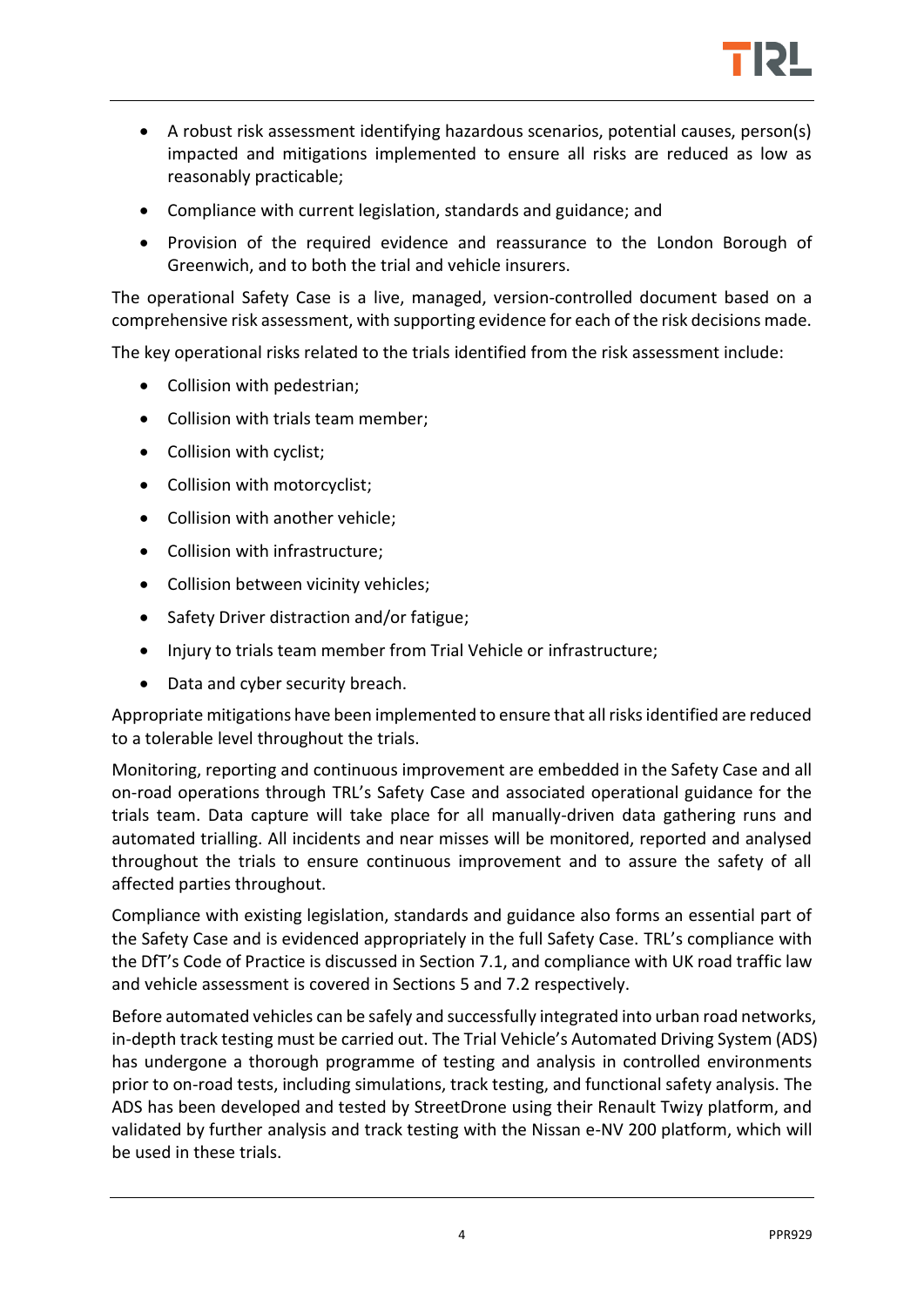

- A robust risk assessment identifying hazardous scenarios, potential causes, person(s) impacted and mitigations implemented to ensure all risks are reduced as low as reasonably practicable;
- Compliance with current legislation, standards and guidance; and
- Provision of the required evidence and reassurance to the London Borough of Greenwich, and to both the trial and vehicle insurers.

The operational Safety Case is a live, managed, version-controlled document based on a comprehensive risk assessment, with supporting evidence for each of the risk decisions made.

The key operational risks related to the trials identified from the risk assessment include:

- Collision with pedestrian;
- Collision with trials team member;
- Collision with cyclist;
- Collision with motorcyclist;
- Collision with another vehicle;
- Collision with infrastructure;
- Collision between vicinity vehicles;
- Safety Driver distraction and/or fatigue;
- Injury to trials team member from Trial Vehicle or infrastructure;
- Data and cyber security breach.

Appropriate mitigations have been implemented to ensure that all risks identified are reduced to a tolerable level throughout the trials.

Monitoring, reporting and continuous improvement are embedded in the Safety Case and all on-road operations through TRL's Safety Case and associated operational guidance for the trials team. Data capture will take place for all manually-driven data gathering runs and automated trialling. All incidents and near misses will be monitored, reported and analysed throughout the trials to ensure continuous improvement and to assure the safety of all affected parties throughout.

Compliance with existing legislation, standards and guidance also forms an essential part of the Safety Case and is evidenced appropriately in the full Safety Case. TRL's compliance with the DfT's Code of Practice is discussed in Section [7.1,](#page-9-1) and compliance with UK road traffic law and vehicle assessment is covered in Sections [5](#page-8-1) and [7.2](#page-9-2) respectively.

Before automated vehicles can be safely and successfully integrated into urban road networks, in-depth track testing must be carried out. The Trial Vehicle's Automated Driving System (ADS) has undergone a thorough programme of testing and analysis in controlled environments prior to on-road tests, including simulations, track testing, and functional safety analysis. The ADS has been developed and tested by StreetDrone using their Renault Twizy platform, and validated by further analysis and track testing with the Nissan e-NV 200 platform, which will be used in these trials.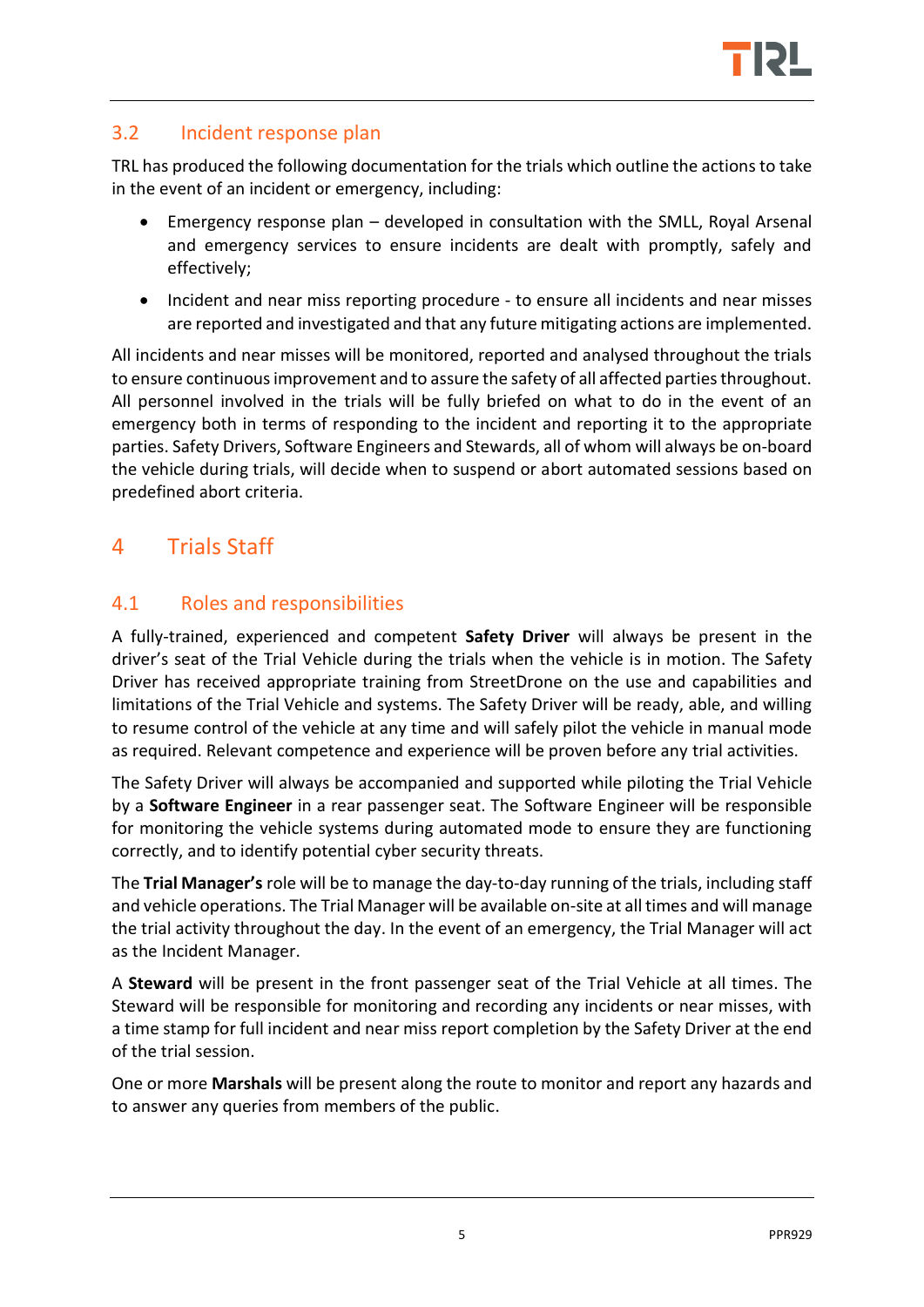

#### <span id="page-7-0"></span>3.2 Incident response plan

TRL has produced the following documentation for the trials which outline the actions to take in the event of an incident or emergency, including:

- Emergency response plan developed in consultation with the SMLL, Royal Arsenal and emergency services to ensure incidents are dealt with promptly, safely and effectively;
- Incident and near miss reporting procedure to ensure all incidents and near misses are reported and investigated and that any future mitigating actions are implemented.

All incidents and near misses will be monitored, reported and analysed throughout the trials to ensure continuous improvement and to assure the safety of all affected parties throughout. All personnel involved in the trials will be fully briefed on what to do in the event of an emergency both in terms of responding to the incident and reporting it to the appropriate parties. Safety Drivers, Software Engineers and Stewards, all of whom will always be on-board the vehicle during trials, will decide when to suspend or abort automated sessions based on predefined abort criteria.

## <span id="page-7-1"></span>4 Trials Staff

#### <span id="page-7-2"></span>4.1 Roles and responsibilities

A fully-trained, experienced and competent **Safety Driver** will always be present in the driver's seat of the Trial Vehicle during the trials when the vehicle is in motion. The Safety Driver has received appropriate training from StreetDrone on the use and capabilities and limitations of the Trial Vehicle and systems. The Safety Driver will be ready, able, and willing to resume control of the vehicle at any time and will safely pilot the vehicle in manual mode as required. Relevant competence and experience will be proven before any trial activities.

The Safety Driver will always be accompanied and supported while piloting the Trial Vehicle by a **Software Engineer** in a rear passenger seat. The Software Engineer will be responsible for monitoring the vehicle systems during automated mode to ensure they are functioning correctly, and to identify potential cyber security threats.

The **Trial Manager's** role will be to manage the day-to-day running of the trials, including staff and vehicle operations. The Trial Manager will be available on-site at all times and will manage the trial activity throughout the day. In the event of an emergency, the Trial Manager will act as the Incident Manager.

A **Steward** will be present in the front passenger seat of the Trial Vehicle at all times. The Steward will be responsible for monitoring and recording any incidents or near misses, with a time stamp for full incident and near miss report completion by the Safety Driver at the end of the trial session.

One or more **Marshals** will be present along the route to monitor and report any hazards and to answer any queries from members of the public.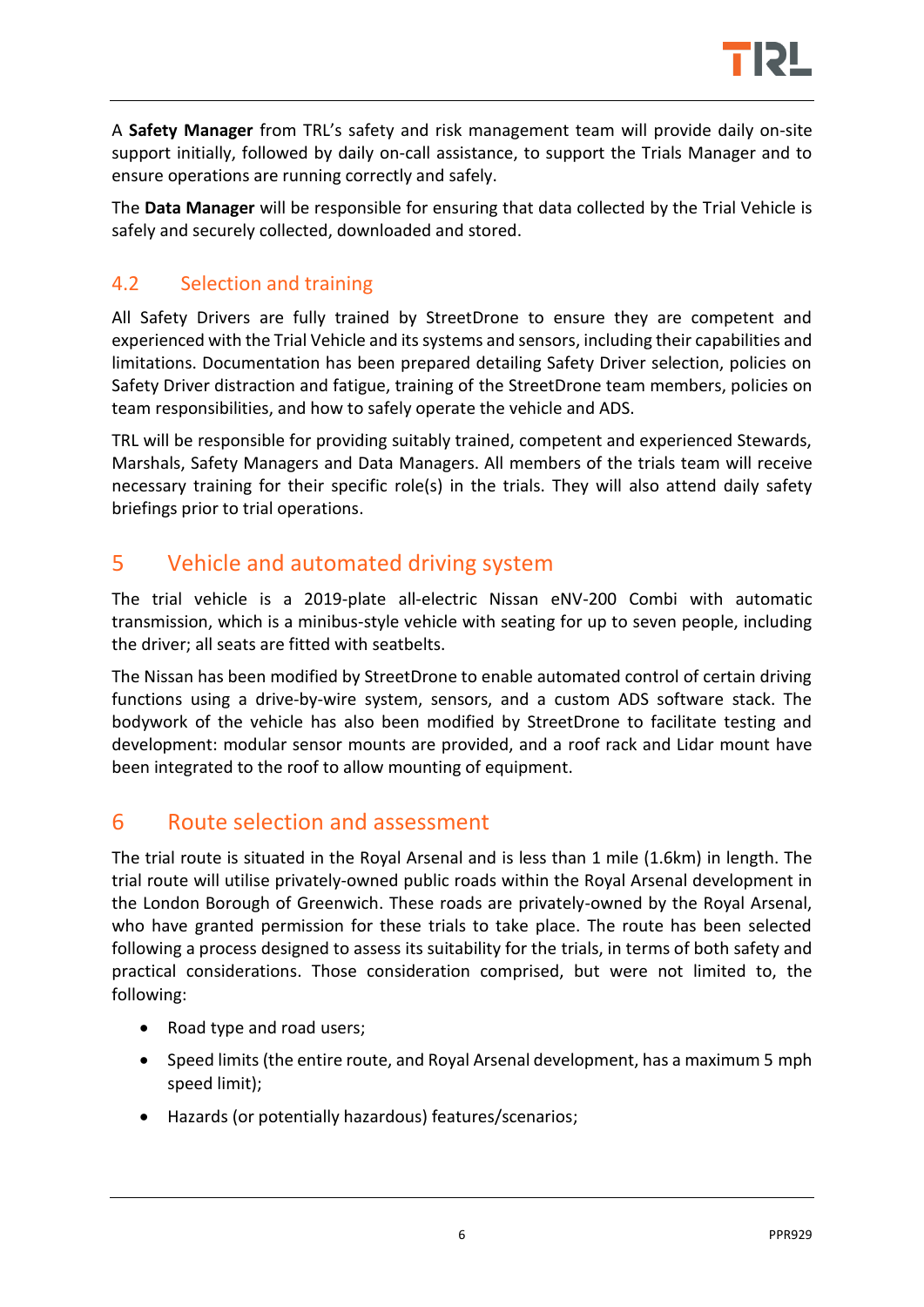

A **Safety Manager** from TRL's safety and risk management team will provide daily on-site support initially, followed by daily on-call assistance, to support the Trials Manager and to ensure operations are running correctly and safely.

The **Data Manager** will be responsible for ensuring that data collected by the Trial Vehicle is safely and securely collected, downloaded and stored.

## <span id="page-8-0"></span>4.2 Selection and training

All Safety Drivers are fully trained by StreetDrone to ensure they are competent and experienced with the Trial Vehicle and its systems and sensors, including their capabilities and limitations. Documentation has been prepared detailing Safety Driver selection, policies on Safety Driver distraction and fatigue, training of the StreetDrone team members, policies on team responsibilities, and how to safely operate the vehicle and ADS.

TRL will be responsible for providing suitably trained, competent and experienced Stewards, Marshals, Safety Managers and Data Managers. All members of the trials team will receive necessary training for their specific role(s) in the trials. They will also attend daily safety briefings prior to trial operations.

## <span id="page-8-1"></span>5 Vehicle and automated driving system

The trial vehicle is a 2019-plate all-electric Nissan eNV-200 Combi with automatic transmission, which is a minibus-style vehicle with seating for up to seven people, including the driver; all seats are fitted with seatbelts.

The Nissan has been modified by StreetDrone to enable automated control of certain driving functions using a drive-by-wire system, sensors, and a custom ADS software stack. The bodywork of the vehicle has also been modified by StreetDrone to facilitate testing and development: modular sensor mounts are provided, and a roof rack and Lidar mount have been integrated to the roof to allow mounting of equipment.

## <span id="page-8-2"></span>6 Route selection and assessment

The trial route is situated in the Royal Arsenal and is less than 1 mile (1.6km) in length. The trial route will utilise privately-owned public roads within the Royal Arsenal development in the London Borough of Greenwich. These roads are privately-owned by the Royal Arsenal, who have granted permission for these trials to take place. The route has been selected following a process designed to assess its suitability for the trials, in terms of both safety and practical considerations. Those consideration comprised, but were not limited to, the following:

- Road type and road users;
- Speed limits (the entire route, and Royal Arsenal development, has a maximum 5 mph speed limit);
- Hazards (or potentially hazardous) features/scenarios;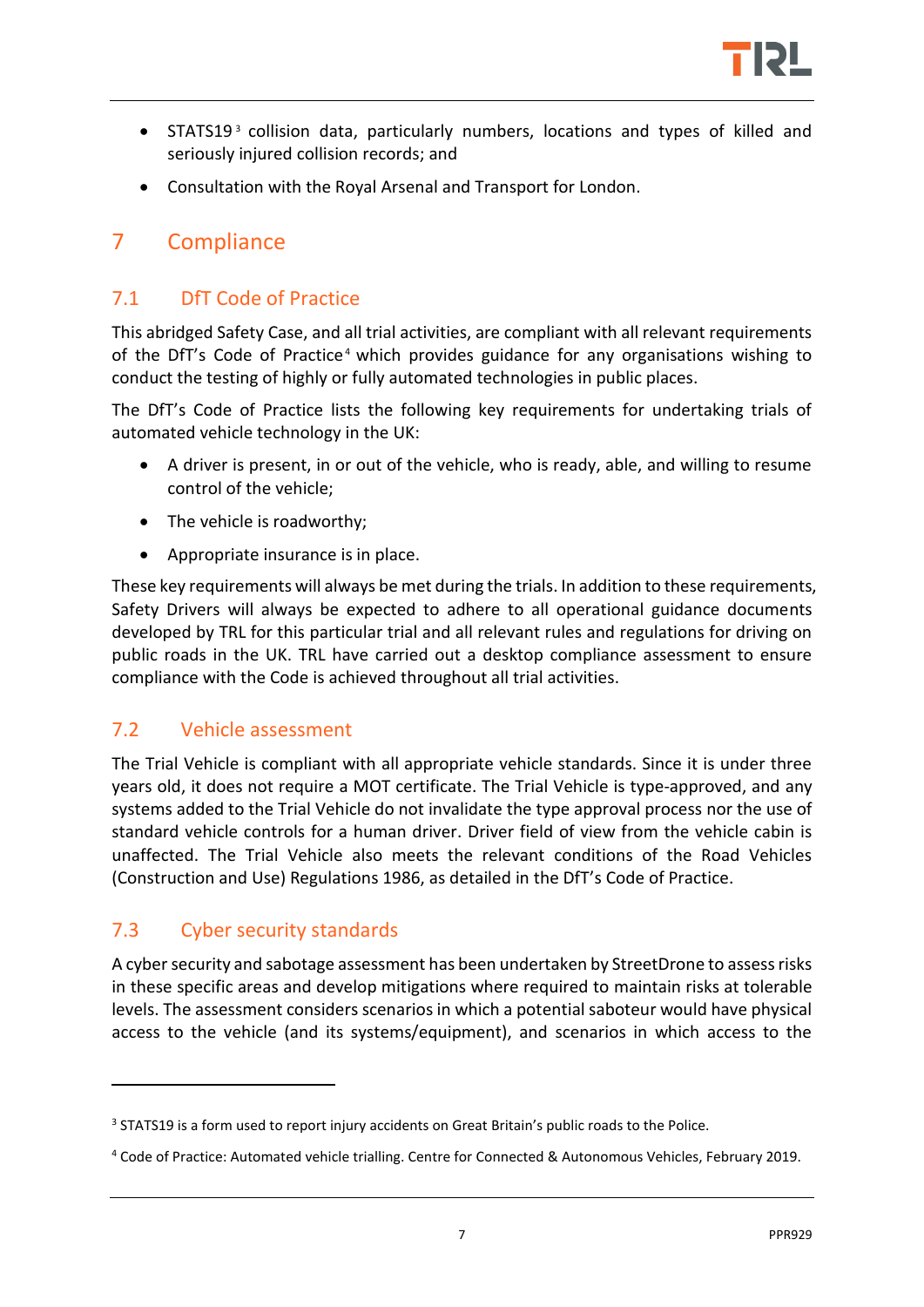

- STATS19<sup>3</sup> collision data, particularly numbers, locations and types of killed and seriously injured collision records; and
- Consultation with the Royal Arsenal and Transport for London.

## <span id="page-9-0"></span>7 Compliance

#### <span id="page-9-1"></span>7.1 DfT Code of Practice

This abridged Safety Case, and all trial activities, are compliant with all relevant requirements of the DfT's Code of Practice<sup>4</sup> which provides guidance for any organisations wishing to conduct the testing of highly or fully automated technologies in public places.

The DfT's Code of Practice lists the following key requirements for undertaking trials of automated vehicle technology in the UK:

- A driver is present, in or out of the vehicle, who is ready, able, and willing to resume control of the vehicle;
- The vehicle is roadworthy;
- Appropriate insurance is in place.

These key requirements will always be met during the trials. In addition to these requirements, Safety Drivers will always be expected to adhere to all operational guidance documents developed by TRL for this particular trial and all relevant rules and regulations for driving on public roads in the UK. TRL have carried out a desktop compliance assessment to ensure compliance with the Code is achieved throughout all trial activities.

#### <span id="page-9-2"></span>7.2 Vehicle assessment

The Trial Vehicle is compliant with all appropriate vehicle standards. Since it is under three years old, it does not require a MOT certificate. The Trial Vehicle is type-approved, and any systems added to the Trial Vehicle do not invalidate the type approval process nor the use of standard vehicle controls for a human driver. Driver field of view from the vehicle cabin is unaffected. The Trial Vehicle also meets the relevant conditions of the Road Vehicles (Construction and Use) Regulations 1986, as detailed in the DfT's Code of Practice.

## <span id="page-9-3"></span>7.3 Cyber security standards

<u>.</u>

A cyber security and sabotage assessment has been undertaken by StreetDrone to assess risks in these specific areas and develop mitigations where required to maintain risks at tolerable levels. The assessment considers scenarios in which a potential saboteur would have physical access to the vehicle (and its systems/equipment), and scenarios in which access to the

<sup>&</sup>lt;sup>3</sup> STATS19 is a form used to report injury accidents on Great Britain's public roads to the Police.

<sup>4</sup> Code of Practice: Automated vehicle trialling. Centre for Connected & Autonomous Vehicles, February 2019.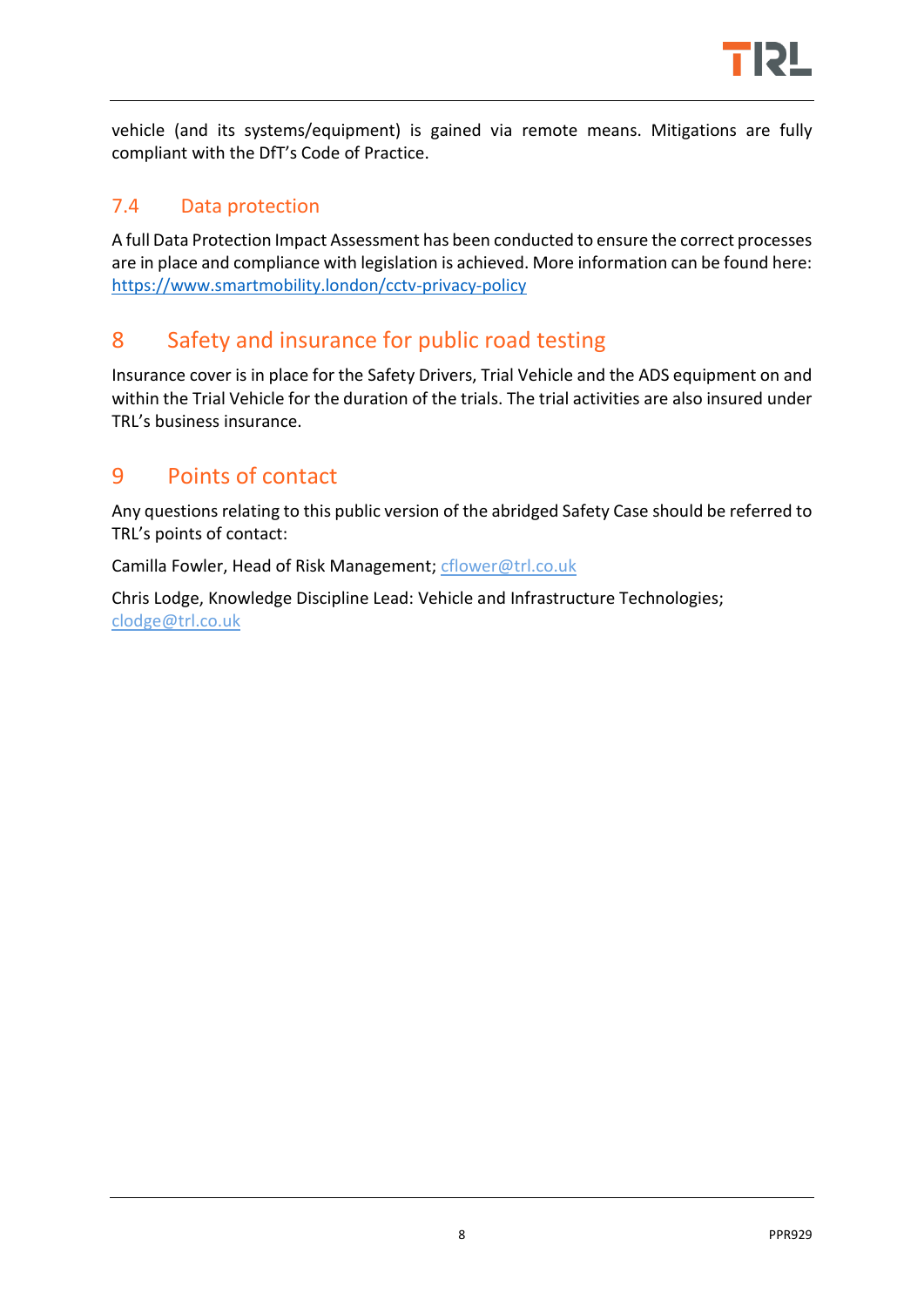

vehicle (and its systems/equipment) is gained via remote means. Mitigations are fully compliant with the DfT's Code of Practice.

#### <span id="page-10-0"></span>7.4 Data protection

A full Data Protection Impact Assessment has been conducted to ensure the correct processes are in place and compliance with legislation is achieved. More information can be found here: <https://www.smartmobility.london/cctv-privacy-policy>

## <span id="page-10-1"></span>8 Safety and insurance for public road testing

Insurance cover is in place for the Safety Drivers, Trial Vehicle and the ADS equipment on and within the Trial Vehicle for the duration of the trials. The trial activities are also insured under TRL's business insurance.

## <span id="page-10-2"></span>9 Points of contact

Any questions relating to this public version of the abridged Safety Case should be referred to TRL's points of contact:

Camilla Fowler, Head of Risk Management; [cflower@trl.co.uk](mailto:cflower@trl.co.uk)

Chris Lodge, Knowledge Discipline Lead: Vehicle and Infrastructure Technologies; [clodge@trl.co.uk](mailto:clodge@trl.co.uk)